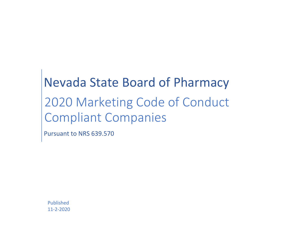## Nevada State Board of Pharmacy 2020 Marketing Code of Conduct Compliant Companies

Pursuant to NRS 639.570

Published 11-2-2020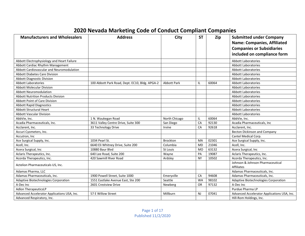## **2020 Nevada Marketing Code of Conduct Compliant Companies**

| <b>Manufacturers and Wholesalers</b>        | <b>Address</b>                                 | City               | <b>ST</b> | Zip   | <b>Submitted under Company</b><br><b>Name: Companies, Affiliated</b><br><b>Companies or Subsidiaries</b><br>included on compliance form |
|---------------------------------------------|------------------------------------------------|--------------------|-----------|-------|-----------------------------------------------------------------------------------------------------------------------------------------|
| Abbott Electrophysiology and Heart Failure  |                                                |                    |           |       | Abbott Laboratories                                                                                                                     |
| Abbott Cardiac Rhythm Management            |                                                |                    |           |       | <b>Abbott Laboratories</b>                                                                                                              |
| Abbott Cardiovascular and Neuromodulation   |                                                |                    |           |       | Abbott Laboratories                                                                                                                     |
| <b>Abbott Diabetes Care Division</b>        |                                                |                    |           |       | Abbott Laboratories                                                                                                                     |
| <b>Abbott Diagnostic Division</b>           |                                                |                    |           |       | <b>Abbott Laboratories</b>                                                                                                              |
| <b>Abbott Laboratories</b>                  | 100 Abbott Park Road, Dept. EC10, Bldg. APGA-2 | <b>Abbott Park</b> | IL        | 60064 | <b>Abbott Laboratories</b>                                                                                                              |
| <b>Abbott Molecular Division</b>            |                                                |                    |           |       | Abbott Laboratories                                                                                                                     |
| <b>Abbott Neuromodulation</b>               |                                                |                    |           |       | Abbott Laboratories                                                                                                                     |
| <b>Abbott Nutrition Products Division</b>   |                                                |                    |           |       | Abbott Laboratories                                                                                                                     |
| <b>Abbott Point of Care Division</b>        |                                                |                    |           |       | Abbott Laboratories                                                                                                                     |
| <b>Abbott Rapid Diagnostics</b>             |                                                |                    |           |       | Abbott Laboratories                                                                                                                     |
| <b>Abbott Structural Heart</b>              |                                                |                    |           |       | Abbott Laboratories                                                                                                                     |
| <b>Abbott Vascular Division</b>             |                                                |                    |           |       | <b>Abbott Laboratories</b>                                                                                                              |
| AbbVie, Inc.                                | 1 N. Waukegan Road                             | North Chicago      | IL        | 60064 | AbbVie, Inc.                                                                                                                            |
| Acadia Pharmaceuticals, Inc.                | 3611 Valley Centre Drive, Suite 300            | San Diego          | CA        | 92130 | Acadia Pharmaceuticals, Inc                                                                                                             |
| Acclarent, Inc.                             | 33 Technology Drive                            | Irvine             | CA        | 92618 | Acclarent, Inc.                                                                                                                         |
| Accuri Cyometers, Inc.                      |                                                |                    |           |       | Becton Dickinson and Company                                                                                                            |
| Accutron, Inc                               |                                                |                    |           |       | Cantel Medical Corp.                                                                                                                    |
| Ace Surgical Supply, Inc.                   | 1034 Pearl St.                                 | <b>Brockton</b>    | MA        | 02301 | Ace Surgical Supply, Inc.                                                                                                               |
| Acell, Inc.                                 | 6640 Eli Whitney Drive, Suite 200              | Columbia           | MD        | 21046 | Acell, Inc.                                                                                                                             |
| Acera Surgical, Inc                         | 10880 Baur Blvd                                | St Louis           | <b>MO</b> | 63132 | Acera Surgical, Inc                                                                                                                     |
| Aclaris Therapeutics, Inc.                  | 640 Lee Road, Suite 200                        | Wayne              | PA        | 19087 | Aclaris Therapeutics, Inc.                                                                                                              |
| Acorda Therapeutics, Inc.                   | 420 Sawmill River Road                         | Ardsley            | <b>NY</b> | 10502 | Acorda Therapeutics, Inc.                                                                                                               |
| Actelion Pharmaceuticals US, Inc.           |                                                |                    |           |       | Johnson & Johnson Pharmaceutical<br>Affiliates                                                                                          |
| Adamas Pharma, LLC                          |                                                |                    |           |       | Adamas Pharmaceuticals, Inc.                                                                                                            |
| Adamas Pharmaceuticals, Inc.                | 1900 Powell Street, Suite 1000                 | Emeryville         | CA        | 94608 | Adamas Pharmaceuticals, Inc.                                                                                                            |
| Adaptive Biotechnologies Corporation        | 1551 Eastlake Avenue East, Ste 200             | Seattle            | <b>WA</b> | 98102 | Adaptive Biotechnologies Corporation                                                                                                    |
| A-Dec Inc                                   | 2601 Crestview Drive                           | Newberg            | <b>OR</b> | 97132 | A-Dec Inc                                                                                                                               |
| <b>Adlon TherapeuticsLP</b>                 |                                                |                    |           |       | Purdue Pharma LP                                                                                                                        |
| Advanced Accelerator Applications USA, Inc. | 57 E Willow Street                             | Millburn           | <b>NJ</b> | 07041 | Advanced Accelerator Applications USA, Inc.                                                                                             |
| Advanced Respiratory, Inc.                  |                                                |                    |           |       | Hill-Rom Holdings, Inc.                                                                                                                 |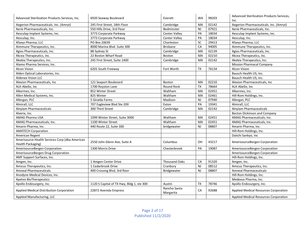| Advanced Sterilization Products Services, Inc.                      | 6920 Seaway Boulevard                     | Everett                   | <b>WA</b> | 98203 | Advanced Sterilization Products Services,<br>Inc. |
|---------------------------------------------------------------------|-------------------------------------------|---------------------------|-----------|-------|---------------------------------------------------|
| Aegerion Pharmaceuticals. Inc. (Amryt)                              | 245 First Street, 18th Floor              | Cambridge                 | MA        | 02142 | Aegerion Pharmaceuticals. Inc. (Amryt)            |
| Aerie Pharmaceuticals, Inc.                                         | 550 Hills Drive, 3rd Floor                | Bedminster                | <b>NJ</b> | 07921 | Aerie Pharmaceuticals, Inc.                       |
| Aesculap Implant Systems, Inc.                                      | 3773 Corporate Parkway                    | <b>Center Valley</b>      | PA        | 18034 | Aesculap Implant Systems, Inc.                    |
| Aesculap, Inc.                                                      | 3773 Corporate Parkway                    | <b>Center Valley</b>      | PA        | 18034 | Aesculap, Inc.                                    |
| Afaxys Pharma, LLC                                                  | PO Box 20639                              | Charleston                | SC        | 29413 | Afaxys Pharma, LLC                                |
| Aimmune Therapeutics, Inc.                                          | 8000 Marina Blvd. Suite 300               | <b>Brisbane</b>           | CA        | 94005 | Aimmune Therapeutics, Inc.                        |
| Agios Pharmaceuticals, Inc.                                         | 88 Sydney St                              | Cambridge                 | <b>MA</b> | 02139 | Agios Pharmaceuticals, Inc.                       |
| Akcea Therapeutics, Inc.                                            | 22 Boston Wharf Road                      | <b>Boston</b>             | MA        | 02210 | Akcea Therapeutics, Inc.                          |
| Akebia Therapeutics, Inc.                                           | 245 First Street, Suite 1400              | Cambridge                 | MA        | 02142 | Akebia Therapeutics, Inc.                         |
| Alamo Pharma Services, Inc.                                         |                                           |                           |           |       | <b>Mission Pharmacal Company</b>                  |
| <b>Alcon Vision</b>                                                 | 6201 South Freeway                        | Fort Worth                | <b>TX</b> | 76134 | Alcon Vision                                      |
| Alden Optical Laboratories, Inc.                                    |                                           |                           |           |       | Bausch Health US, Inc.                            |
| <b>Aldenex Vision LLC</b>                                           |                                           |                           |           |       | Bausch Health US, Inc.                            |
| Alexion Pharmaceuticals, Inc                                        | 121 Seaport Boulevard                     | <b>Boston</b>             | MA        | 02210 | Alexion Pharmaceuticals, Inc                      |
| ALK-Abello, Inc.                                                    | 1700 Royston Lane                         | <b>Round Rock</b>         | <b>TX</b> | 78664 | ALK-Abello, Inc                                   |
| Alkermes, Inc.                                                      | 852 Winter Street                         | Waltham                   | MA        | 02451 | Alkermes, Inc.                                    |
| Allen Medical Systems, Inc.                                         | 825 Winter                                | Waltham                   | MA        | 02461 | Hill-Rom Holdings, Inc.                           |
| Allergan, PLC                                                       | 5 Giralda Farms                           | Madison                   | <b>NJ</b> | 07940 | Allergan, PLC                                     |
| Almirall, LLC                                                       | 707 Eagleview Blvd Ste 200                | Exton                     | PA        | 19341 | Almirall, LLC                                     |
| <b>Alnylam Pharmaceuticals</b>                                      | 300 Third Street                          | Cambridge                 | MA        | 02142 | <b>Alnylam Pharmaceuticals</b>                    |
| Alverix, Inc.                                                       |                                           |                           |           |       | <b>Becton Dickinson and Company</b>               |
| AMAG Pharma USA                                                     | 1099 Winter Street, Suite 3000            | Waltham                   | MA        | 02451 | AMAG Pharmaceuticals, Inc.                        |
| AMAG Pharmaceuticals, Inc.                                          | 1100 Winter Street                        | Waltham                   | MA        | 02451 | AMAG Pharmaceuticals, Inc.                        |
| Amarin Pharma, Inc.                                                 | 440 Route 22, Suite 300                   | bridgewater               | <b>NJ</b> | 08807 | Amarin Pharma, Inc.                               |
| <b>AMATECH Corporation</b>                                          |                                           |                           |           |       | Hill-Rom Holdings, Inc.                           |
| American Regent                                                     |                                           |                           |           |       | Daiichi Sankyo, Inc                               |
| Amerisource Health Services Corp (dba American<br>Health Packaging) | 2550 John Glenn Ave, Suite A              | Columbus                  | OH        | 43217 | AmerisourceBergen Corporation                     |
| AmerisourceBergen Corporation                                       | 1300 Morris Drive                         | Chesterbrook              | PA        | 19087 | AmerisourceBergen Corporation                     |
| AmerisourceBergen Drug Corporation                                  |                                           |                           |           |       | AmerisourceBergen Corporation                     |
| AMF Support Surfaces, Inc.                                          |                                           |                           |           |       | Hill-Rom Holdings, Inc.                           |
| Amgen, Inc.                                                         | 1 Amgen Center Drive                      | <b>Thousand Oaks</b>      | CA        | 91320 | Amgen, Inc.                                       |
| Amicus Therapeutics, Inc.                                           | 1 Cedarbrook Drive                        | Cranbury                  | <b>NJ</b> | 08512 | Amicus Therapeutics, Inc.                         |
| <b>Amneal Pharmaceuticals</b>                                       | 400 Crossing Blvd, 3rd floor              | <b>Bridgewater</b>        | <b>NJ</b> | 08807 | <b>Amneal Pharmaceuticals</b>                     |
| Anodyne Medical Devices, Inc.                                       |                                           |                           |           |       | Hill-Rom Holdings, Inc.                           |
| Apetvo BioTherapeutics                                              |                                           |                           |           |       | Medexus Pharma, Inc.                              |
| Apollo Endosurgery, Inc.                                            | 1120 S Capital of TX Hwy, Bldg 1, ste 300 | Austin                    | <b>TX</b> | 78746 | Apollo Endosurgery, Inc.                          |
| Applied Medical Distribution Corporation                            | 22872 Avenida Empress                     | Rancho Santa<br>Margarita | CA        | 92688 | Applied Medical Resources Corporation             |
| Applied Manufacturing, LLC                                          |                                           |                           |           |       | Applied Medical Resources Corporation             |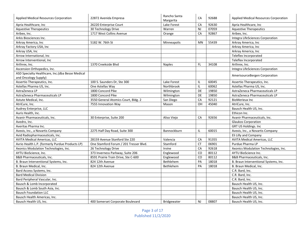| <b>Applied Medical Resources Corporation</b>     | 22872 Avenida Empresa                  | Rancho Santa<br>Margarita | CA             | 92688 | Applied Medical Resources Corporation |
|--------------------------------------------------|----------------------------------------|---------------------------|----------------|-------|---------------------------------------|
| Apria Healthcare, Inc                            | 26220 Enterprise Court                 | Lake Forest               | CA             | 92630 | Apria Healthcare, Inc                 |
| <b>Aquestive Therapeutics</b>                    | 30 Technology Drive                    | Warren                    | NJ             | 07059 | <b>Aquestive Therapeutics</b>         |
| Aribex, Inc.                                     | 1717 West Collins Avenue               | Orange                    | CA             | 92867 | Aribex, Inc.                          |
| Arkis Biosciences Inc.                           |                                        |                           |                |       | Integra LifeSciences Corporation      |
| Arkray America, Inc                              | 5182 W. 76th St                        | Minneapolis               | MN             | 55439 | Arkray America, Inc                   |
| Arkray Factory USA, Inc                          |                                        |                           |                |       | Arkray America, Inc                   |
| Arkray USA, Inc                                  |                                        |                           |                |       | Arkray America, Inc                   |
| Arrow International, Inc                         |                                        |                           |                |       | Teleflex Incorporated                 |
| Arrow Interventional, Inc                        |                                        |                           |                |       | Teleflex Incorporated                 |
| Arthrex, Inc.                                    | 1370 Creekside Blvd                    | <b>Naples</b>             | FL.            | 34108 | Arthrex, Inc.                         |
| Ascension Orthopedics, Inc.                      |                                        |                           |                |       | Integra LifeSciences Corporation      |
| ASD Specialty Healthcare, Inc.(dba Besse Medical |                                        |                           |                |       |                                       |
| and Oncology Supply)                             |                                        |                           |                |       | AmerisourceBergen Corporation         |
| Assertio Therapeutics, Inc.                      | 100 S. Saunders Dr. Ste 300            | Lake Forest               | IL             | 60045 | Assertio Therapeutics, Inc.           |
| Astellas Pharma US, Inc.                         | One Astellas Way                       | Northbrook                | IL             | 60062 | Astellas Pharma US, Inc.              |
| AstraZeneca LP                                   | 1800 Concord Pike                      | Wilmington                | DE             | 19850 | AstraZeneca Pharmaceuticals LP        |
| AstraZeneca Pharmaceuticals LP                   | 1800 Concord Pike                      | Wilmington                | DE             | 19850 | AstraZeneca Pharmaceuticals LP        |
| Astute Medical, Inc.                             | 3550 General Atomics Court, Bldg. 2    | San Diego                 | CA             | 92121 | <b>BioMerieux Inc</b>                 |
| AtriCure, Inc.                                   | 7555 Innovation Way                    | Mason                     | OH             | 45040 | AtriCure, Inc.                        |
| Audrey Enterprise, LLC                           |                                        |                           |                |       | Bausch Health US, Inc.                |
| Auris Health, Inc.                               |                                        |                           |                |       | Ethicon Inc.                          |
| Avanir Pharmaceuticals, Inc.                     | 30 Enterprise, Suite 200               | Aliso Viejo               | CA             | 92656 | Avanir Pharmaceuticals, Inc.          |
| Avedro, Inc.                                     |                                        |                           |                |       | <b>Glaukos Corporation</b>            |
| Averitas Pharma Inc.                             |                                        |                           |                |       | <b>GRT US Holdings. Inc</b>           |
| Avexis, Inc., a Novartis Company                 | 2275 Half Day Road, Suite 300          | Bannockburn               | IL             | 60015 | Avexis, Inc., a Novartis Company      |
| Avid Radiopharmaceuticals, Inc.                  |                                        |                           |                |       | Eli Lilly and Company                 |
| <b>AVITA Medical Americas, LLC</b>               | 28159 Avenue Stanford Ste 220          | Valencia                  | CA             | 91355 | <b>AVITA Medical Americas, LLC</b>    |
| Avrio Health L.P. (formerly Purdue Products LP)  | One Stamford Forum / 201 Tresser Blvd. | Stamford                  | <b>CT</b>      | 06901 | Purdue Pharma LP                      |
| Axonics Modulation Technologies, Inc.            | 26 Technology Drive                    | Irvine                    | CA             | 92618 | Axonics Modulation Technologies, Inc. |
| AYTU BioScience, Inc.                            | 373 Inverness Parkway, Suite 206       | Englewood                 | $\overline{c}$ | 80112 | <b>AYTU BioScience Inc.</b>           |
| <b>B&amp;B Pharmaceuticals. Inc.</b>             | 8591 Prairie Train Drive, Ste C-600    | Englewood                 | CO             | 80112 | <b>B&amp;B Pharmaceuticals. Inc.</b>  |
| B. Braun Interventional Systems, Inc.            | 824 12th Avenue                        | Bethlehem                 | PA             | 18018 | B. Braun Interventional Systems, Inc. |
| B. Braun Medical, Inc.                           | 824 12th Avenue                        | Bethlehem                 | PA             | 18018 | B. Braun Medical. Inc.                |
| Bard Access Systems, Inc.                        |                                        |                           |                |       | C.R. Bard, Inc.                       |
| <b>Bard Medical Division</b>                     |                                        |                           |                |       | C.R. Bard, Inc.                       |
| Bard Peripheral Vascular, Inc.                   |                                        |                           |                |       | C.R. Bard, Inc.                       |
| Bausch & Lomb Incorporated                       |                                        |                           |                |       | Bausch Health US, Inc.                |
| Bausch & Lomb South Asia, Inc.                   |                                        |                           |                |       | Bausch Health US, Inc.                |
| <b>Bausch Foundation LLC</b>                     |                                        |                           |                |       | Bausch Health US, Inc.                |
| Bausch Health Americas, Inc.                     |                                        |                           |                |       | Bausch Health US, Inc.                |
| Bausch Health US, Inc.                           | 400 Somerset Corporate Boulevard       | <b>Bridgewater</b>        | <b>NJ</b>      | 08807 | Bausch Health US, Inc.                |

Page 3 of 17 Published 11/2/2020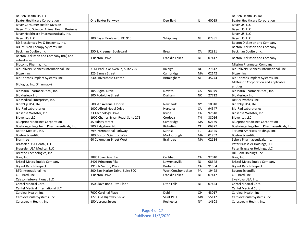| Bausch Health US, LLC                                 |                                    |                       |                |       | Bausch Health US, Inc.                     |
|-------------------------------------------------------|------------------------------------|-----------------------|----------------|-------|--------------------------------------------|
| <b>Baxter Healthcare Corporation</b>                  | One Baxter Parkway                 | Deerfield             | IL             | 60015 | <b>Baxter Healthcare Corporation</b>       |
| <b>Bayer Consumer Health Division</b>                 |                                    |                       |                |       | Bayer US, LLC                              |
| Bayer Crop Science, Animal Health Business            |                                    |                       |                |       | Bayer US, LLC                              |
| Bayer Healthcare Pharmaceuticals, Inc.                |                                    |                       |                |       | Bayer US, LLC                              |
| Bayer US, LLC                                         | 100 Bayer Boulevard, PO 915        | Whippany              | <b>NJ</b>      | 07981 | Bayer US, LLC                              |
| BD Biosciences Sys & Reagents, Inc.                   |                                    |                       |                |       | <b>Becton Dickinson and Company</b>        |
| BD Infusion Therapy Systems, Inc.                     |                                    |                       |                |       | <b>Becton Dickinson and Company</b>        |
| Beckman Coulter, Inc.                                 | 250 S. Kraemer Boulevard           | <b>Brea</b>           | CA             | 92821 | Beckman Coulter, Inc.                      |
| Becton Dickinson and Company (BD) and<br>subsidiaries | 1 Becton Drive                     | <b>Franklin Lakes</b> | <b>NJ</b>      | 07417 | <b>Becton Dickinson and Company</b>        |
| Biocomp Pharma, Inc.                                  |                                    |                       |                |       | <b>Mission Pharmacal Company</b>           |
| BioDelivery Sciences International, Inc.              | 3141 ParkLake Avenue, Suite 225    | Raleigh               | <b>NC</b>      | 27612 | BioDelivery Sciences International, Inc.   |
| Biogen Inc                                            | 225 Binney Street                  | Cambridge             | MA             | 02142 | Biogen Inc                                 |
| BioHorizons Implant Systems, Inc.                     | 2300 Riverchase Center             | Birmingham            | AL             | 35244 | BioHorizons Implant Systems, Inc.          |
|                                                       |                                    |                       |                |       | McKesson Corporation and applicable        |
| Biologics, Inc. (Pharmacy)                            |                                    |                       |                |       | entities                                   |
| BioMarin Pharmaceutical, Inc.                         | 105 Digital Drive                  | Novato                | CA             | 94949 | BioMarin Pharmaceutical, Inc.              |
| <b>BioMerieux Inc</b>                                 | 100 Rodolphe Street                | Durham                | <b>NC</b>      | 27712 | <b>BioMerieux Inc</b>                      |
| BioMedical Enterprises, Inc.                          |                                    |                       |                |       | DePuy Synthes, Inc.                        |
| Biom'Up USA, INC                                      | 500 7th Avenue, Floor 8            | New York              | <b>NY</b>      | 10018 | Biom'Up USA, INC                           |
| <b>Bio-Rad Laboratories</b>                           | 1000 Alfred Nobel Drive            | Hercules              | CA             | 94547 | <b>Bio-Rad Laboratories</b>                |
| Biosense Webster, Inc.                                | 33 Technology Drive                | Irvine                | CA             | 92618 | Biosense Webster, Inc.                     |
| <b>Bioventus LLC</b>                                  | 1900 Charles Bryan Road, Suite 275 | Cordova               | <b>TN</b>      | 38016 | <b>Bioventus LLC</b>                       |
| <b>Blueprint Medicines Corporation</b>                | 45 Sidney Street                   | Cambridge             | MA             | 02139 | <b>Blueprint Medicines Corporation</b>     |
| Boehringer Ingelheim Pharmaceuticals, Inc.            | 900 Ridgebury Rd.                  | Ridgefield            | <b>CT</b>      | 06877 | Boehringer Ingelheim Pharmaceuticals, Inc. |
| Bolton Medical, Inc.                                  | 799 International Parkway          | Sunrise               | FL             | 33325 | Terumo Americas Holdings, Inc.             |
| <b>Boston Scientific</b>                              | 100 Boston Scientific Way          | Marlborough           | MA             | 01752 | <b>Boston Scientific</b>                   |
| <b>Braintree</b>                                      | 60 Columbian Street West           | <b>Braintree</b>      | MA             | 02184 | Sebela Pharmaceuticals, Inc.               |
| Brasseler USA Dental, LLC                             |                                    |                       |                |       | Peter Brasseler Holdings, LLC              |
| Brasseler USA Medical, LLC                            |                                    |                       |                |       | Peter Brasseler Holdings, LLC              |
| Breathe Technologies, Inc.                            |                                    |                       |                |       | Hill-Rom Holdings, Inc.                    |
| Breg, Inc.                                            | 2885 Loker Ave. East               | Carlsbad              | CA             | 92010 | Breg, Inc.                                 |
| <b>Bristol-Myers Squibb Company</b>                   | 3401 Princeton Pike                | Lawrenceville         | <b>NJ</b>      | 08648 | <b>Bristol-Myers Squibb Company</b>        |
| <b>Bryant Ranch Prepack</b>                           | 1919 N Victory Place               | <b>Burbank</b>        | CA             | 91504 | <b>Bryant Ranch Prepack</b>                |
| <b>BTG</b> International Inc.                         | 300 Barr Harbor Drive, Suite 800   | West Conshohocken     | PA             | 19428 | <b>Boston Scientific</b>                   |
| C.R. Bard, Inc.                                       | 1 Becton Drive                     | Franklin Lakes        | <b>NJ</b>      | 07417 | C.R. Bard, Inc.                            |
| Caisson Interventional, LLC                           |                                    |                       |                |       | LivaNova USA, Inc.                         |
| Cantel Medical Corp.                                  | 150 Clove Road - 9th Floor         | Little Falls          | N <sub>J</sub> | 07424 | Cantel Medical Corp.                       |
| Cantel Medical International LLC                      |                                    |                       |                |       | Cantel Medical Corp.                       |
| Cardinal Health, Inc.                                 | 7000 Cardinal Place                | Dublin                | OH             | 43017 | Cardinal Health, Inc.                      |
| Cardiovascular Systems, Inc.                          | 1225 Old Highway 8 NW              | Saint Paul            | MN             | 55112 | Cardiovascular Systems, Inc.               |
| Carestream Health, Inc.                               | 150 Verona Street                  | Rochester             | <b>NY</b>      | 14608 | Carestream Health, Inc.                    |

Page 4 of 17 Published 11/2/2020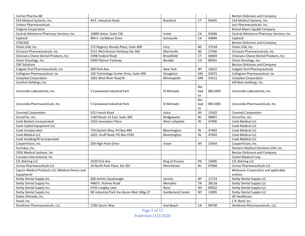| Carmel Pharma AB                                |                                            |                           |           |         | Becton Dickinson and Company              |
|-------------------------------------------------|--------------------------------------------|---------------------------|-----------|---------|-------------------------------------------|
| CAS Medical Systems, Inc.                       | 44 E. Industrial Road                      | <b>Branford</b>           | <b>CT</b> | 06405   | CAS Medical Systems, Inc.                 |
| <b>Celator Pharmaceuticals</b>                  |                                            |                           |           |         | Jazz Pharmaceuticals, Inc.                |
| <b>Celgene Corporation</b>                      |                                            |                           |           |         | <b>Bristol-Myers Squibb Company</b>       |
| Central Admixture Pharmacy Services, Inc.       | 16800 Aston, Suite 150                     | Irvine                    | CA        | 92606   | Central Admixture Pharmacy Services, Inc. |
| Cepheid                                         | 904 E. Caribbean Drive                     | Sunnyvale                 | CA        | 94089   | Cepheid                                   |
| CFN2200                                         |                                            |                           |           |         | <b>Becton Dickinson and Company</b>       |
| Chiesi USA, Inc.                                | 175 Regency Woods Place, Suite 600         | Cary                      | <b>NC</b> | 27518   | Chiesi USA, Inc.                          |
| Circassia Pharmaceuticals, Inc.                 | 5151 McCrimmon Parkway Ste 260             | Morrisville               | <b>NC</b> | 27560   | Circassia Pharmaceuticals, Inc.           |
| Clinicians Choice Dental Products, Inc.         | 559B Federal Road                          | <b>Brookfield</b>         | <b>CT</b> | 06804   | Clinicians Choice Dental Products, Inc.   |
| Clovis Oncology, Inc.                           | 5500 Flatiron Parkway                      | <b>Boulder</b>            | CO        | 80301   | Clovis Oncology, Inc.                     |
| <b>CNF Solutions</b>                            |                                            |                           |           |         | <b>Becton Dickinson and Company</b>       |
| Colgate Oral Pharmaceuticals, Inc               | 300 Park Ave                               | New York                  | <b>NY</b> | 10022   | <b>Colgate Oral Pharmaceuticals</b>       |
| Collegium Pharmaceutical, Inc                   | 100 Technology Center Drive, Suite 300     | Stoughton                 | MA        | 02072   | Collegium Pharmaceutical, Inc             |
| <b>Coloplast Corporation</b>                    | 1601 West River Road N                     | Minneapolis               | MN        | 55411   | <b>Coloplast Corporation</b>              |
| Comfort Holdings, Inc.                          |                                            |                           |           |         | Hill-Rom Holdings, Inc.                   |
|                                                 |                                            |                           | Bar       |         |                                           |
| Concordia Laboratories, Inc.                    | 5 Canewood Industrial Park                 | St Michaels               | bad       | BB11005 | Concordia Laboratories, Inc.              |
|                                                 |                                            |                           | os        |         |                                           |
|                                                 |                                            |                           | Bar       |         |                                           |
| Concordia Pharmaceuticals, Inc.                 | 5 Canewood Industrial Park                 | St Michaels               | bad       | BB11005 | Concordia Pharmaceuticals, Inc.           |
|                                                 |                                            |                           | <b>OS</b> |         |                                           |
| <b>Conmed Corporation</b>                       | 525 French Road                            | Utica                     | <b>NY</b> | 13502   | <b>Conmed Corporation</b>                 |
| ConvaTec, Inc.                                  | 1160 Route 22 East, Suite 304              | Bridgewater               | <b>NJ</b> | 08807   | ConvaTec, Inc.                            |
| Cook Biotech Incorporated                       | 1425 Innovation Place                      | West Lafayette            | IN        | 47906   | Cook Medical LLC                          |
| Cook Capital Equipment LLC                      |                                            |                           |           |         | Cook Medical LLC                          |
| Cook Incorporated                               | 750 Daniels Way, PO Box 489                | Bloomington               | IN        | 47402   | Cook Medical LLC                          |
| Cook Medical LLC                                | 1025 Acuff Road, PO Box 4195               | Bloomington               | IN        | 47402   | <b>Cook Medical LLC</b>                   |
| Cook Vandergrift Incorporated                   |                                            |                           |           |         | Cook Medical LLC                          |
| CooperVision, Inc.                              | 209 High Point Drive                       | Victor                    | <b>NY</b> | 14564   | CooperVision, Inc.                        |
| Corindus, Inc.                                  |                                            |                           |           |         | Siemens Medical Solutions USA, Inc.       |
| CRISI Medical Systems. Inc.                     |                                            |                           |           |         | <b>Becton Dickinson and Company</b>       |
| Crosstex international, Inc.                    |                                            |                           |           |         | Cantel Medical Corp.                      |
| <b>CSL Behring LLC</b>                          | 1020 First Ave                             | King of Prussia           | PA        | 19406   | <b>CSL Behring LLC</b>                    |
| <b>Currax Pharmaceuticals LLC</b>               | 10 North Park Place, Ste 201               | Morristown                | <b>NJ</b> | 07960   | <b>Currax Pharmaceuticals LLC</b>         |
| Cyprus Medical Products LLC (Medical Device and |                                            |                           |           |         | McKesson Corporation and applicable       |
| Equipment)                                      |                                            |                           |           |         | entities                                  |
| Darby Dental Supply Inc.                        | 300 Jericho Quadrangle                     | Jericho                   | <b>NY</b> | 11753   | Darby Dental Supply LLC                   |
| Darby Dental Supply Inc.                        | 4460 E. Holmes Road                        | Memphis                   | <b>TN</b> | 38118   | Darby Dental Supply LLC                   |
| Darby Dental Supply Inc.                        | 4745 Longley Lane                          | Reno                      | <b>NV</b> | 89502   | Darby Dental Supply LLC                   |
| Darby Dental Supply Inc.                        | NE Industrial Park Van Buren Blvd. Bldg-27 | <b>Guilderland Center</b> | <b>NY</b> | 12005   | Darby Dental Supply LLC                   |
| Datex-Ohmeda, Inc.                              |                                            |                           |           |         | <b>GE Healthcare</b>                      |
| Davol, Inc.                                     |                                            |                           |           |         | C.R. Bard, Inc.                           |
| Dendreon Pharmaceuticals, LLC                   | 1700 Saturn Way                            | Seal Beach                | CA        | 90740   | Dendreon Pharmaceuticals, LLC             |

Page 5 of 17 Published 11/2/2020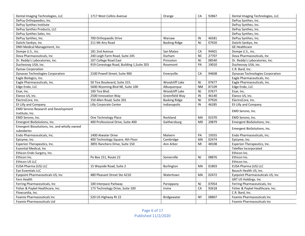| Dental Imaging Technologies, LLC             | 1717 West Collins Avenue                  | Orange               | CA        | 92867 | Dental Imaging Technologies, LLC        |
|----------------------------------------------|-------------------------------------------|----------------------|-----------|-------|-----------------------------------------|
| DePuy Orthopaedics, Inc.                     |                                           |                      |           |       | DePuy Synthes, Inc.                     |
| DePuy Synthes Institute                      |                                           |                      |           |       | DePuy Synthes, Inc.                     |
| DePuy Synthes Products, LLC                  |                                           |                      |           |       | DePuy Synthes, Inc.                     |
| DePuy Synthes Sales, Inc.                    |                                           |                      |           |       | DePuy Synthes, Inc.                     |
| DePuy Synthes, Inc.                          | 700 Orthopaedic Drive                     | Warsaw               | IN        | 46581 | DePuy Synthes, Inc.                     |
| Daiichi Sankyo, Inc                          | 211 Mt Airy Road                          | <b>Basking Ridge</b> | <b>NJ</b> | 07920 | Daiichi Sankyo, Inc                     |
| DNH Medical Management, Inc                  |                                           |                      |           |       | <b>GE Healthcare</b>                    |
| Dompe U.S., Inc.                             | 181 2nd Avenue                            | San Mateo            | CA        | 94401 | Dompe U.S., Inc.                        |
| Dova Pharmaceuticals, Inc                    | 240 Leigh Farm Road, Suite 245            | Durham               | <b>NC</b> | 27707 | Dova Pharmaceuticals, Inc.              |
| Dr. Reddy's Laboratories, Inc.               | 107 College Road East                     | Princeton            | <b>NJ</b> | 08540 | Dr. Reddy's Laboratories, Inc.          |
| Duchesnay USA, Inc.                          | 919 Conestoga Road, Building 1, Suite 203 | Rosemont             | PA        | 19010 | Duchesnay USA, Inc.                     |
| <b>Dymax Corporation</b>                     |                                           |                      |           |       | C.R. Bard, Inc.                         |
| <b>Dynavax Technologies Corporation</b>      | 2100 Powell Street, Suite 900             | Emeryville           | CA        | 94608 | <b>Dynavax Technologies Corporation</b> |
| Eagle Biologics, Inc.                        |                                           |                      |           |       | Eagle Pharmaceuticals, Inc.             |
| Eagle Pharmaceuticals, Inc.                  | 50 Tice Boulevard, Suite 315.             | Woodcliff Lake       | NJ        | 07677 | Eagle Pharmaceuticals, Inc.             |
| Edge Endo, LLC                               | 5600 Wyoming Blvd NE, Suite 100           | Albuquerque          | <b>NM</b> | 87109 | Edge Endo, LLC                          |
| Eisai, Inc.                                  | 100 Tice Blvd.                            | Woodcliff Lake       | <b>NJ</b> | 07677 | Eisai, Inc.                             |
| Elanco US, Inc.                              | 2500 Innovation Way                       | Greenfield Way       | IN        | 46140 | Elanco US, Inc.                         |
| ElectroCore, Inc.                            | 150 Allen Road, Suite 201                 | <b>Basking Ridge</b> | <b>NJ</b> | 07920 | ElectroCore, Inc.                       |
| Eli Lilly and Company                        | Lilly Corporate Center                    | Indianapolis         | IN        | 46285 | Eli Lilly and Company                   |
| <b>EMD Serono Research and Development</b>   |                                           |                      |           |       |                                         |
| Institute, Inc.                              |                                           |                      |           |       | EMD Serono, Inc.                        |
| EMD Serono, Inc.                             | One Technology Place                      | Rockland             | MA        | 02370 | EMD Serono, Inc.                        |
| Emergent BioSolutions, Inc.                  | 400 Professional Drive, Suite 400         | Gaithersburg         | <b>MD</b> | 20879 | Emergent BioSolutions, Inc.             |
| Emergent Biosolutions, Inc. and wholly owned |                                           |                      |           |       |                                         |
| subsidaries                                  |                                           |                      |           |       | Emergent BioSolutions, Inc.             |
| Endo Pharmaceuticals, Inc.                   | 1400 Atwater Drive                        | Malvern              | PA        | 19355 | Endo Pharmaceuticals, Inc.              |
| Epizyme, Inc.                                | 400 Technology Square, 4th Floor          | Cambridge            | <b>MA</b> | 02474 | Epizyme, Inc.                           |
| Esperion Therapeutics, Inc.                  | 3891 Ranchero Drive, Suite 150            | Ann Arbor            | MI        | 48108 | Esperion Therapeutics, Inc.             |
| <b>Essential Medical, Inc</b>                |                                           |                      |           |       | Teleflex Incorporated                   |
| Ethicon Endo Surgery, Inc.                   |                                           |                      |           |       | Ethicon Inc.                            |
| Ethicon Inc.                                 | Po Box 151, Route 22                      | Somerville           | <b>NJ</b> | 08876 | Ethicon Inc.                            |
| Ethicon US LLC                               |                                           |                      |           |       | Ethicon Inc.                            |
| EUSA Pharma (US) LLC                         | 15 Wayside Road, Suite 2                  | <b>Burlington</b>    | MA        | 01803 | EUSA Pharma (US) LLC                    |
| Eye Essentials LLC                           |                                           |                      |           |       | Bausch Health US, Inc.                  |
| Eyepoint Pharmaceuticals US, Inc             | 480 Pleasant Street Ste A210              | Watertown            | <b>MA</b> | 02472 | Eyepoint Pharmaceuticals US, Inc        |
| Fern Health                                  |                                           |                      |           |       | GRT US Holdings. Inc                    |
| Ferring Pharmaceuticals, Inc                 | 100 Interpace Parkway                     | Parsippany           | <b>NJ</b> | 07054 | Ferring Pharmaceuticals, Inc            |
| Fisher & Paykel Healthcare, Inc.             | 173 Technology Drive, Suite 100           | Irvine               | CA        | 92618 | Fisher & Paykel Healthcare, Inc.        |
| Flowcardia, Inc.                             |                                           |                      |           |       | C.R. Bard, Inc.                         |
| <b>Foamix Pharmaceuticals Inc.</b>           | 520 US Highway Rt 22                      | <b>Bridgewater</b>   | <b>NY</b> | 08807 | <b>Foamix Pharmaceuticals Inc.</b>      |
| <b>Foamix Pharmaceuticals Ltd</b>            |                                           |                      |           |       | <b>Foamix Pharmaceuticals Inc.</b>      |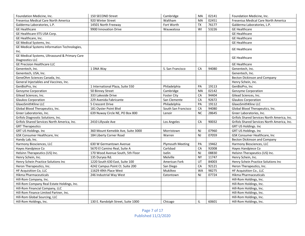| Foundation Medicine, Inc.                     | 150 SECOND Street                  | Cambridge               | MA             | 02141 | Foundation Medicine, Inc.                   |
|-----------------------------------------------|------------------------------------|-------------------------|----------------|-------|---------------------------------------------|
| Fresenius Medical Care North America          | 920 Winter Street                  | Waltham                 | MA             | 02451 | Fresenius Medical Care North America        |
| Galderma Laboratories, L.P.                   | 14501 North Freeway                | Fort Worth              | <b>TX</b>      | 76177 | Galderma Laboratories, L.P.                 |
| <b>GE Healthcare</b>                          | 9900 Innovation Drive              | Wauwatosa               | WI             | 53226 | <b>GE Healthcare</b>                        |
| GE Healthcare IITS USA Corp.                  |                                    |                         |                |       | <b>GE Healthcare</b>                        |
| GE Healthcare, Inc.                           |                                    |                         |                |       | <b>GE Healthcare</b>                        |
| GE Medical Systems, Inc.                      |                                    |                         |                |       | <b>GE Healthcare</b>                        |
| GE Medical Systems Information Technologies,  |                                    |                         |                |       |                                             |
| Inc.                                          |                                    |                         |                |       | <b>GE Healthcare</b>                        |
| GE Medical Systems, Ultrasound & Primary Care |                                    |                         |                |       | <b>GE Healthcare</b>                        |
| Diagnostics LLC                               |                                    |                         |                |       |                                             |
| <b>GE Precision Healthcare LLC</b>            |                                    |                         |                |       | <b>GE Healthcare</b>                        |
| Genentech, Inc.                               | 1 DNA Way                          | S. San Francisco        | CA             | 94080 | Genentech, Inc.                             |
| Genentech, USA, Inc.                          |                                    |                         |                |       | Genentech, Inc.                             |
| GeneOhm Sciences Canada, Inc.                 |                                    |                         |                |       | <b>Becton Dickinson and Company</b>         |
| General Injectables and Vaccines, Inc.        |                                    |                         |                |       | Henry Schein, inc.                          |
| GenBioPro, Inc                                | 1 International Plaza, Suite 550   | Philadelphia            | PA             | 19113 | GenBioPro, Inc                              |
| Genzyme Corporation                           | 50 Binney Street                   | Cambridge               | MA             | 02142 | <b>Genzyme Corporation</b>                  |
| Gilead Sciences, Inc.                         | 333 Lakeside Drive                 | <b>Foster City</b>      | CA             | 94404 | Gilead Sciences, Inc.                       |
| <b>Glaukos Corporation</b>                    | 229 Avenida Fabricante             | San Clemente            | CA             | 92672 | <b>Glaukos Corporation</b>                  |
| GlaxoSmithKline LLC                           | 5 Crescent Drive                   | Philadelphia            | PA             | 19112 | GlaxoSmithKline LLC                         |
| Global Blood Therapeutics, Inc.               | 181 Oyster Point Blvd              | South San Francisco     | CA             | 94080 | Global Blood Therapeutics, Inc.             |
| Greer Laboratories, Inc.                      | 639 Nuway Circle NE, PO Box 800    | Lenoir                  | <b>NC</b>      | 28645 | Greer Laboratories, Inc.                    |
| Grifols Diagnostic Solutions, Inc.            |                                    |                         |                |       | Grifols Shared Services North America, Inc. |
| Grifols Shared Services North America, Inc.   | 2410 Lillyvale Ave                 | Los Angeles             | CA             | 90032 | Grifols Shared Services North America, Inc. |
| <b>GRT Therapeutics</b>                       |                                    |                         |                |       | GRT US Holdings. Inc                        |
| <b>GRT US Holdings. Inc</b>                   | 360 Mount Kemeble Ave, Suite 3000  | Morristown              | <b>NJ</b>      | 07960 | <b>GRT US Holdings. Inc.</b>                |
| GSK Consumer Healthcare, Inc                  | 184 Liberty Corner Road            | Warren                  | <b>NJ</b>      | 07059 | GSK Consumer Healthcare, Inc                |
| Handy Lab, Inc.                               |                                    |                         |                |       | <b>Becton Dickinson and Company</b>         |
| Harmony Biosciences, LLC                      | 630 W Germantown Avenue            | <b>Plymouth Meeting</b> | PA             | 19462 | Harmony Biosciences, LLC                    |
| Hayes Handpiece Co                            | 5670 El Camino Real, Suite A       | Carlsbad                | CA             | 92008 | Hayes Handpiece Co                          |
| Helsinn Therapeutics (US) Inc.                | 170 Wood Avenue South, 5th Floor   | Iselin                  | N <sub>J</sub> | 08830 | Helsinn Therapeutics (US) Inc.              |
| Henry Schein, Inc.                            | 135 Duryea Rd.                     | Melville                | <b>NY</b>      | 11747 | Henry Schein, Inc.                          |
| Henry Schein Practice Solutions Inc           | 1220 South 630 East, Suite 100     | American Fork           | UT             | 84003 | Henry Schein Practice Solutions Inc         |
| Heron Therapeutics, Inc.                      | 4242 Campus Point Ct. Suite 200    | San Diego               | CA             | 92121 | Heron Therapeutics, Inc.                    |
| HF Acquisition Co, LLC                        | 11629 49th Place West              | Mukilteo                | <b>WA</b>      | 98275 | HF Acquisition Co., LLC                     |
| Hikma Pharmaceuticals                         | 246 Industrial Way West            | Eatontown               | <b>NJ</b>      | 07724 | Hikma Pharmaceuticals                       |
| Hill-Rom Company, Inc.                        |                                    |                         |                |       | Hill-Rom Holdings, Inc.                     |
| Hill-Rom Company Real Estate Holdings, Inc.   |                                    |                         |                |       | Hill-Rom Holdings, Inc.                     |
| Hill-Rom Financial Company, LLC               |                                    |                         |                |       | Hill-Rom Holdings, Inc.                     |
| Hill-Rom Finance Limited Partner, Inc.        |                                    |                         |                |       | Hill-Rom Holdings, Inc.                     |
| Hill-Rom Global Sourcing, LLC                 |                                    |                         |                |       | Hill-Rom Holdings, Inc.                     |
| Hill-Rom Holdings, Inc.                       | 130 E. Randolph Street, Suite 1000 | Chicago                 | IL.            | 60601 | Hill-Rom Holdings, Inc.                     |

Page 7 of 17 Published 11/2/2020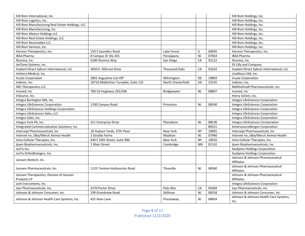| Hill-Rom International, Inc.                     |                                      |                      |                |       | Hill-Rom Holdings, Inc.                  |
|--------------------------------------------------|--------------------------------------|----------------------|----------------|-------|------------------------------------------|
| Hill-Rom Logistics, Inc.                         |                                      |                      |                |       | Hill-Rom Holdings, Inc.                  |
| Hill-Rom Manufacturing Real Estate Holdings, LLC |                                      |                      |                |       | Hill-Rom Holdings, Inc.                  |
| Hill-Rom Manufacturing, Inc.                     |                                      |                      |                |       | Hill-Rom Holdings, Inc.                  |
| Hill-Rom Mexico Holdings LLC                     |                                      |                      |                |       | Hill-Rom Holdings, Inc.                  |
| Hill-Rom Real Estate Holdings, LLC               |                                      |                      |                |       | Hill-Rom Holdings, Inc.                  |
| Hill-Rom Receivables LLC                         |                                      |                      |                |       | Hill-Rom Holdings, Inc.                  |
| Hill-Rom Services, Inc.                          |                                      |                      |                |       | Hill-Rom Holdings, Inc.                  |
| Horizon Therapeutics, Inc.                       | 150 S Saunders Road                  | Lake Forest          | IL             | 60045 | Horizon Therapeutics, Inc.               |
| <b>IBSA Pharma</b>                               | 8 Campus Dr Ste 201                  | Parsippany           | <b>NJ</b>      | 07054 | <b>IBSA Pharma</b>                       |
| Illumina, Inc.                                   | 5200 Illumina Way                    | San Diego            | CA             | 92122 | Illumina, Inc.                           |
| ImClone Systems, Inc.                            |                                      |                      |                |       | Eli Lilly and Company                    |
| Implant Direct Sybron International, LLC         | 3050 E. Hillcrest Drive              | <b>Thousand Oaks</b> | CA             | 91632 | Implant Direct Sybron International, LLC |
| Imthera Medical, Inc.                            |                                      |                      |                |       | LivaNova USA, Inc.                       |
| Incyte Corporation                               | 1801 Augustine Cut-Off               | Wilmington           | <b>DE</b>      | 19803 | <b>Incyte Corporation</b>                |
| Indivior, Inc.                                   | 10710 Midlothian Turnpike, Suite 125 | North Chesterfield   | <b>VA</b>      | 23235 | Indivior, Inc.                           |
| <b>INO Therapeutics LLC</b>                      |                                      |                      |                |       | Mallinckrodt Pharmaceuticals, Inc.       |
| Insmed, Inc                                      | 700 US Hoghway 202/206               | <b>Bridgewater</b>   | NJ             | 08807 | Insmed, Inc                              |
| InSource, Inc.                                   |                                      |                      |                |       | Henry Schein, inc.                       |
| Integra Burlington MA, Inc.                      |                                      |                      |                |       | Integra LifeSciences Corporation         |
| Integra LifeSciences Corporation                 | 1100 Campus Road                     | Princeton            | <b>NJ</b>      | 08540 | Integra LifeSciences Corporation         |
| Integra LifeSciences Holdings Corporation        |                                      |                      |                |       | Integra LifeSciences Corporation         |
| Integra LifeSciences Sales, LLC                  |                                      |                      |                |       | Integra LifeSciences Corporation         |
| Integra Sales, Inc.                              |                                      |                      |                |       | Integra LifeSciences Corporation         |
| Integra York PA, Inc.                            | 311 Enterprise Drive                 | Plainsboro           | <b>NJ</b>      | 08536 | Integra LifeSciences Corrporation        |
| Integrated Commercialization Solutions, Inc.     |                                      |                      |                | 89521 | AmerisourceBergen Corporation            |
| Intercept Pharmaceuticals, Inc                   | 10 Hudson Yards, 37th Floor          | New York             | <b>NY</b>      | 10001 | Intercept Pharmaceuticals, Inc           |
| Intervet Inc./dba/Merck Animal Health            | 2 Giralda Farms                      | Madison              | <b>NJ</b>      | 07940 | Intervet Inc./dba/Merck Animal Health    |
| Intra-Cellular Therapies, Inc.                   | 430 E 29th Street, Suite 900         | New York             | <b>NY</b>      | 10016 | Intra-Cellular Therapies, Inc.           |
| Ipsen Biopharmaceuticals, Inc.                   | 1 Main Street                        | Cambridge            | MA             | 02142 | Ipsen Biopharmaceuticals, Inc.           |
| IsoTis Inc.                                      |                                      |                      |                |       | SeaSpine Holdings Corporation            |
| IsoTis OrthoBiologics, Inc.                      |                                      |                      |                |       | SeaSpine Holdings Corporation            |
| Janssen Biotech, Inc.                            |                                      |                      |                |       | Johnson & Johnson Pharmaceutical         |
|                                                  |                                      |                      |                |       | <b>Affiliates</b>                        |
| Janssen Pharmaceuticals, Inc.                    | 1125 Trenton-Harbourton Road         | Titusville           | N <sub>J</sub> | 08560 | Johnson & Johnson Pharmaceutical         |
|                                                  |                                      |                      |                |       | <b>Affiliates</b>                        |
| Janssen Therapeutics, Division of Janssen        |                                      |                      |                |       | Johnson & Johnson Pharmaceutical         |
| Products LP                                      |                                      |                      |                |       | <b>Affiliates</b>                        |
| Jarit Instruments, Inc.                          |                                      |                      |                |       | Integra LifeSciences Corporation         |
| Jazz Pharmaceuticals, Inc.                       | 3170 Porter Drive                    | Palo Alto            | CA             | 94304 | Jazz Pharmaceuticals, Inc.               |
| Johnson & Johnson Consumer, Inc.                 | 199 Grandview Road                   | Skillman             | <b>NJ</b>      | 08558 | Johnson & Johnson Consumer, Inc.         |
| Johnson & Johnson Health Care Systems, Inc.      | 425 Hoes Lane                        | Piscataway           | <b>NJ</b>      | 08854 | Johnson & Johnson Health Care Systems,   |
|                                                  |                                      |                      |                |       | Inc.                                     |

Page 8 of 17 Published 11/2/2020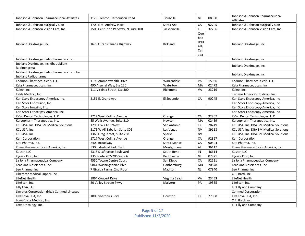| Johnson & Johnson Pharmaceutical Affiliates                         | 1125 Trenton-Harbourton Road        | Titusville     | <b>NJ</b>                               | 08560 | Johnson & Johnson Pharmaceutical<br><b>Affiliates</b> |
|---------------------------------------------------------------------|-------------------------------------|----------------|-----------------------------------------|-------|-------------------------------------------------------|
| Johnson & Johnson Surgical Vision                                   | 1700 E St. Andrew Place             | Santa Ana      | CA                                      | 92705 | Johnson & Johnson Surgical Vision                     |
| Johnson & Johnson Vision Care, Inc.                                 | 7500 Centurion Parkway, N Suite 100 | Jacksonville   | FL.                                     | 32256 | Johnson & Johnson Vision Care, Inc.                   |
| Jubilant DraxImage, Inc.                                            | 16751 TransCanada Highway           | Kirkland       | Que<br>bec<br>H9H<br>4J4,<br>Can<br>ada |       | Jubilant DraxImage, Inc.                              |
| Jubilant DraxImage Radiopharmacies Inc.                             |                                     |                |                                         |       | Jubilant DraxImage, Inc.                              |
| Jubilant DraxImage, Inc. dba Jubilant<br>Radiopharma                |                                     |                |                                         |       | Jubilant DraxImage, Inc.                              |
| Jubilant DraxImage Radiopharmacies Inc. dba<br>Jubilant Radiopharma |                                     |                |                                         |       | Jubilant DraxImage, Inc.                              |
| Kadmon Pharmaceuticals, LLC                                         | 119 Commonwealth Drive              | Warrendale     | PA                                      | 15086 | Kadmon Pharmaceuticals, LLC                           |
| Kala Pharmaceuticals, Inc.                                          | 490 Arsenal Way, Ste 120            | Watertown      | <b>MA</b>                               | 02472 | Kala Pharmaceuticals, Inc.                            |
| Kaleo, Inc                                                          | 111 Virginia Street, Ste 300        | Richmond       | VA                                      | 23219 | Kaleo, Inc.                                           |
| Kalila Medical, Inc.                                                |                                     |                |                                         |       | Terumo Americas Holdings, Inc.                        |
| Karl Storz Endoscopy-America, Inc.                                  | 2151 E. Grand Ave                   | El Segundo     | CA                                      | 90245 | Karl Storz Endoscopy-America, Inc.                    |
| Karl Storz Endovision, Inc.                                         |                                     |                |                                         |       | Karl Storz Endoscopy-America, Inc.                    |
| Karl Storz Imaging, Inc.                                            |                                     |                |                                         |       | Karl Storz Endoscopy-America, Inc.                    |
| Karl Storz Lithotripsy-America, Inc.                                |                                     |                |                                         |       | Karl Storz Endoscopy-America, Inc.                    |
| KaVo Dental Technologies, LLC                                       | 1717 West Collins Avenue            | Orange         | CA                                      | 92867 | KaVo Dental Technologies, LLC                         |
| Karyopharm Therapeutics, Inc.                                       | 85 Wells Avenue, Suite 210          | Newton         | MA                                      | 02459 | Karyopharm Therapeutics, Inc.                         |
| KCL USA, Inc. DBA 3M Medical Solutions                              | 1293 HWY I-10 West                  | San Antonio    | <b>TX</b>                               | 78249 | KCL USA, Inc. DBA 3M Medical Solutions                |
| KCL USA, Inc.                                                       | 3175 W Ali Baba Ln, Suite 806       | Las Vegas      | <b>NV</b>                               | 89118 | KCL USA, Inc. DBA 3M Medical Solutions                |
| KCL USA, Inc.                                                       | 1360 Greg Street, Suite 238         | Sparks         | <b>NV</b>                               |       | KCL USA, Inc. DBA 3M Medical Solutions                |
| Kerr Corporation                                                    | 1717 West Collins Avenue            | Orange         | CA                                      | 92867 | Kerr Corporation                                      |
| Kite Pharma, Inc.                                                   | 2400 Broadway                       | Santa Monica   | CA                                      | 90404 | Kite Pharma, Inc.                                     |
| Kowa Pharmaceuticals America, Inc.                                  | 530 Industrial Park Blvd.           | Montgomery     | <b>AL</b>                               | 36117 | Kowa Pharmaceuticals America, Inc.                    |
| Kulzer, LLC                                                         | 4315 S Lafayette Boulevard          | South Bend     | $\sf IN$                                | 46614 | Kulzer, LLC                                           |
| Kyowa Kirin, Inc.                                                   | 135 Route 202/206 Suite 6           | Bedminster     | <b>NJ</b>                               | 07921 | Kyowa Kirin, Inc.                                     |
| La Jolla Pharmaceutical Company                                     | 4550 Towne Centre Court             | San Diego      | CA                                      | 92121 | La Jolla Pharmaceutical Company                       |
| Leadiant Biosciences, Inc.                                          | 9841 Washingtonian Blvd.            | Gaithersburg   | <b>MD</b>                               | 20878 | Leadiant Biosciences, Inc.                            |
| Leo Pharma, Inc.                                                    | 7 Giralda Farms, 2nd Floor          | Madison        | <b>NJ</b>                               | 07940 | Leo Pharma, Inc.                                      |
| Liberator Medical Supply, Inc.                                      |                                     |                |                                         |       | C.R. Bard, Inc.                                       |
| LifeNet Health                                                      | 1864 Concert Drive                  | Virginia Beach | VA                                      | 23453 | LifeNet Health                                        |
| LifeScan, Inc.                                                      | 20 Valley Stream Pkwy               | Malvern        | PA                                      | 19355 | LifeScan, Inc.                                        |
| Lilly USA, LLC                                                      |                                     |                |                                         |       | Eli Lilly and Company                                 |
| Linvatec Corporation d/b/a Conmed Linvatec                          |                                     |                |                                         |       | <b>Conmed Corporation</b>                             |
| LivaNova USA, Inc.                                                  | 100 Cyberonics Blvd                 | Houston        | <b>TX</b>                               | 77058 | LivaNova USA, Inc.                                    |
| Loma Vista Medical, Inc.                                            |                                     |                |                                         |       | C.R. Bard, Inc.                                       |
| Loxo Oncology, Inc.                                                 |                                     |                |                                         |       | Eli Lilly and Company                                 |

Page 9 of 17 Published 11/2/2020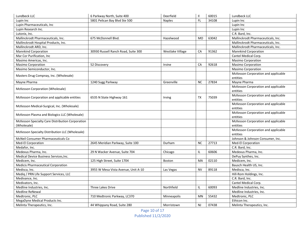| Lundbeck LLC                                     | 6 Parkway North, Suite 400          | Deerfield        | $\mathbf{I}$ | 60015 | Lundbeck LLC                        |
|--------------------------------------------------|-------------------------------------|------------------|--------------|-------|-------------------------------------|
| Lupin Inc                                        | 5801 Pelican Bay Blvd Ste 500       | <b>Naples</b>    | <b>FL</b>    | 34108 | Lupin Inc                           |
| Lupin Pharmaceuticals, Inc.                      |                                     |                  |              |       | Lupin Inc                           |
| Lupin Research Inc.                              |                                     |                  |              |       | Lupin Inc                           |
| Lutonix, Inc.                                    |                                     |                  |              |       | C.R. Bard, Inc.                     |
| Mallinckrodt Pharmaceuticals, Inc.               | 675 McDonnell Blvd.                 | Hazelwood        | <b>MO</b>    | 63042 | Mallinckrodt Pharmaceuticals, Inc.  |
| Mallinckrodt Hospital Products, Inc.             |                                     |                  |              |       | Mallinckrodt Pharmaceuticals, Inc.  |
| Mallinckrodt ARD, Inc.                           |                                     |                  |              |       | Mallinckrodt Pharmaceuticals, Inc.  |
| <b>Mannkind Corporation</b>                      | 30930 Russell Ranch Road, Suite 300 | Westlake Village | CA           | 91362 | <b>Mannkind Corporation</b>         |
| Mar Cor Purification, Inc                        |                                     |                  |              |       | Cantel Medical Corp.                |
| Masimo Americas, Inc.                            |                                     |                  |              |       | Masimo Corporation                  |
| <b>Masimo Corporation</b>                        | 52 Discovery                        | Irvine           | CA           | 92618 | Masimo Corporation                  |
| Masimo Semiconductor, Inc.                       |                                     |                  |              |       | Masimo Corporation                  |
|                                                  |                                     |                  |              |       | McKesson Corporation and applicable |
| Masters Drug Compnay, Inc. (Wholesale)           |                                     |                  |              |       | entities                            |
| Mayne Pharma                                     | 1240 Sugg Parkway                   | Greenville       | <b>NC</b>    | 27834 | Mayne Pharma                        |
|                                                  |                                     |                  |              |       | McKesson Corporation and applicable |
| McKesson Corporation (Wholesale)                 |                                     |                  |              |       | entities                            |
| McKesson Corporation and applicable entities     | 6535 N State Highway 161            | Irving           | <b>TX</b>    | 75039 | McKesson Corporation and applicable |
|                                                  |                                     |                  |              |       | entities                            |
| McKesson Medical-Surgical, Inc. (Wholesale)      |                                     |                  |              |       | McKesson Corporation and applicable |
|                                                  |                                     |                  |              |       | entities                            |
| McKesson Plasma and Biologics LLC (Wholesale)    |                                     |                  |              |       | McKesson Corporation and applicable |
|                                                  |                                     |                  |              |       | entities                            |
| McKesson Specialty Care Distribution Corporation |                                     |                  |              |       | McKesson Corporation and applicable |
| (Wholesale)                                      |                                     |                  |              |       | entities                            |
| McKesson Specialty Distribution LLC (Wholesale)  |                                     |                  |              |       | McKesson Corporation and applicable |
|                                                  |                                     |                  |              |       | entities                            |
| McNeil Consumer Pharmaceuticals Co               |                                     |                  |              |       | Johnson & Johnson Consumer, Inc.    |
| Med-El Corporation                               | 2645 Meridian Parkway, Suite 100    | Durham           | <b>NC</b>    | 27713 | Med-El Corporation                  |
| Medafor, Inc.                                    |                                     |                  |              |       | C.R. Bard, Inc.                     |
| Medexus Pharma, Inc.                             | 29 N Wacker Avenue, Suite 704       | Chicago          | IL           | 60606 | Medexus Pharma, Inc.                |
| Medical Device Business Services, Inc.           |                                     |                  |              |       | DePuy Synthes, Inc.                 |
| Medicem, Inc.                                    | 125 High Street, Suite 1704         | <b>Boston</b>    | MA           | 02110 | Medicem, Inc.                       |
| Medicis Pharmaceutical Corporation               |                                     |                  |              |       | Bausch Health US, Inc.              |
| Medisca, Inc.                                    | 3955 W Mesa Vista Avenue, Unit A-10 | Las Vegas        | <b>NV</b>    | 89118 | Medisca, Inc.                       |
| Mediq / PRN Life Support Services, LLC           |                                     |                  |              |       | Hill-Rom Holdings, Inc.             |
| Medivance, Inc.                                  |                                     |                  |              |       | C.R. Bard, Inc.                     |
| Medivators, Inc.                                 |                                     |                  |              |       | Cantel Medical Corp.                |
| Medline Industries, Inc.                         | <b>Three Lakes Drive</b>            | Northfield       | IL           | 60093 | Medline Industries, Inc.            |
| <b>Medline ReNewal</b>                           |                                     |                  |              |       | Medline Industries, Inc.            |
| Medtronic, PLC                                   | 710 Medtronic Parkway, LC370        | Minneapolis      | MN           | 55432 | Medtronic, PLC                      |
| MegaDyne Medical Products Inc.                   |                                     |                  |              |       | Ethicon Inc.                        |
| Melinta Therapeutics, Inc.                       | 44 Whippany Road, Suite 280         | Morristown       | <b>NJ</b>    | 07438 | Melinta Therapeutics, Inc.          |

Page 10 of 17 Published 11/2/2020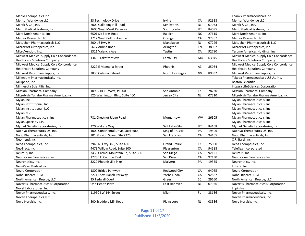| Menlo Therapeutics Inc                  |                                    |                      |           |       | Foamix Pharmaceuticals Inc              |
|-----------------------------------------|------------------------------------|----------------------|-----------|-------|-----------------------------------------|
| Mentor Worldwide LLC                    | 33 Technology Drive                | Irvine               | CA        | 92618 | Mentor Worldwide LLC                    |
| Merck & Co., Inc.                       | 2000 Galloping Hill Road           | Kenilworth           | <b>NJ</b> | 07033 | Merck & Co., Inc.                       |
| Merit Medical Systems, Inc.             | 1600 West Merit Parkway            | South Jordan         | UT        | 84095 | Merit Medical Systems, Inc.             |
| Merz North America, Inc.                | 6501 Six Forks Road                | Raleigh              | <b>NC</b> | 27615 | Merz North America, Inc.                |
| Metrex Research, LLC                    | 1717 West Collins Avenue           | Orange               | CA        | 92867 | Metrex Research, LLC                    |
| Metuchen Pharmaceuticals LLC            | 200 US Hwy 9                       | Manalapan            | <b>NJ</b> | 07226 | Metuchen Pharmaceuticals LLC            |
| MicroPort Orthopedics, Inc.             | 5677 Airline Road                  | Arlington            | <b>TN</b> | 38002 | MicroPort Orthopedics, Inc.             |
| MicroVention, Inc.                      | 1311 Valencia Ave                  | Tustin               | CA        | 92790 | Terumo Americas Holdings, Inc.          |
| Midwest Medical Supply Co a Concordance | 13400 Lakefront Ave                |                      |           | 63045 | Midwest Medical Supply Co a Concordance |
| <b>Healthcare Solutions Company</b>     |                                    | Earth City           | MO        |       | <b>Healthcare Solutions Company</b>     |
| Midwest Medical Supply Co a Concordance |                                    | Phoenix              | AZ        | 85034 | Midwest Medical Supply Co a Concordance |
| <b>Healthcare Solutions Company</b>     | 2229 E Magnolia Street             |                      |           |       | <b>Healthcare Solutions Company</b>     |
| Midwest Veterinary Supply, Inc.         | 2835 Coleman Street                | North Las Vegas      | <b>NV</b> | 89032 | Midwest Veterinary Supply, Inc.         |
| Millenium Pharmaceuticals, Inc.         |                                    |                      |           |       | Takeda Pharmaceuticals U.S.A., Inc.     |
| Millipede, Inc.                         |                                    |                      |           |       | <b>Boston Scientific</b>                |
| Minnesota Scientific, Inc.              |                                    |                      |           |       | Integra LifeSciences Corporation        |
| <b>Mission Pharmacal Company</b>        | 10999 IH 10 West, #1000            | San Antonio          | <b>TX</b> | 78230 | <b>Mission Pharmacal Company</b>        |
| Mitsubishi Tanabe Pharma America, Inc.  | 525 Washington Blvd, Suite 400     | Jersey City          | <b>NJ</b> | 07310 | Mitsubishi Tanabe Pharma America, Inc.  |
| Mylan Inc.                              |                                    |                      |           |       | Mylan Pharmaceuticals, Inc.             |
| Mylan Institutional, Inc.               |                                    |                      |           |       | Mylan Pharmaceuticals, Inc.             |
| Mylan Institutional, LLC                |                                    |                      |           |       | Mylan Pharmaceuticals, Inc.             |
| Mylan N.V.                              |                                    |                      |           |       | Mylan Pharmaceuticals, Inc.             |
| Mylan Pharmaceuticals, Inc.             | 781 Chestnut Ridge Road            | Morgantown           | <b>WV</b> | 26505 | Mylan Pharmaceuticals, Inc.             |
| Mylan Specialty L.P.                    |                                    |                      |           |       | Mylan Pharmaceuticals, Inc.             |
| Myriad Genetic Laboratories, Inc.       | 320 Wakara Way                     | Salt Lake City       | UT        | 84108 | Myriad Genetic Laboratories, Inc.       |
| Nabriva Therapeutics US, Inc.           | 1000 Continental Drive, Suite 600  | King of Prussia      | PA        | 19406 | Nabriva Therapeutics US, Inc.           |
| Napo Pharmaceuticals, Inc               | 201 Mission Street, Ste 2375       | San Francisco        | CA        | 94105 | Napo Pharmaceuticals, Inc.              |
| Neomend, Inc.                           |                                    |                      |           |       | C.R. Bard, Inc.                         |
| Neos Therapeutics, Inc.                 | 2940 N. Hwy 360, Suite 400         | <b>Grand Prairie</b> | <b>TX</b> | 75050 | Neos Therapeutics, Inc.                 |
| NeoTract, Inc.                          | 4473 Willow Road, Suite 100        | Pleasanton           | CA        | 94588 | Teleflex Incorporated                   |
| Neurelis, Inc                           | 3430 Carmel Mountain Rd, Suite 300 | San Diego            | CA        | 92121 | Neurelis, Inc.                          |
| Neurocrine Biosciences, Inc.            | 12780 El Camino Real               | San Diego            | CA        | 92130 | Neurocrine Biosciences, Inc.            |
| Neuronetics, Inc.                       | 3222 Phoenixville Pike             | Malvern              | PA        | 19355 | Neuronetics, Inc.                       |
| NeuWave Medical Inc.                    |                                    |                      |           |       | Ethicon Inc.                            |
| Nevro Corporation                       | 1800 Bridge Parkway                | Redwood City         | CA        | 94065 | Nevro Corporation                       |
| Nobel Biocare, USA                      | 22715 Savi Ranch Parkway           | Yorba Linda          | CA        | 92887 | Nobel Biocare, USA                      |
| North American Rescue, LLC              | 35 Tedwall Court                   | Greer                | <b>SC</b> | 29650 | North American Rescue, LLC              |
| Novartis Pharmaceuticals Corporation    | One Health Plaza                   | East Hanover         | <b>NJ</b> | 07936 | Novartis Pharmaceuticals Corporation    |
| Novel Laboratories, Inc.                |                                    |                      |           |       | Lupin Inc                               |
| Noven Pharmaceuticals, Inc.             | 11960 SW 144 Street                | Miami                | FL.       | 33186 | Noven Pharmaceuticals, Inc.             |
| Noven Therapeutics LLC                  |                                    |                      |           |       | Noven Pharmaceuticals, Inc.             |
| Novo Nordisk, Inc.                      | 800 Scudders Mill Road             | Plainsboro           | <b>NJ</b> | 08536 | Novo Nordisk, Inc.                      |

Page 11 of 17 Published 11/2/2020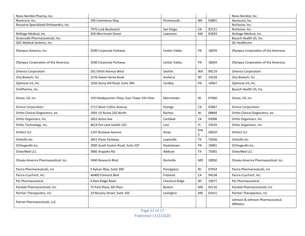| Novo Nordisk Pharma, Inc.              |                                              |                      |                |       | Novo Nordisk, Inc.                                    |
|----------------------------------------|----------------------------------------------|----------------------|----------------|-------|-------------------------------------------------------|
| Novocure, Inc.                         | 195 Commerce Way                             | Portsmouth           | <b>NH</b>      | 03801 | Novocure, Inc.                                        |
| Nuvasive Specialized Orthopedics, Inc. |                                              |                      |                |       | NuVasive, Inc.                                        |
|                                        | 7475 Lusk Boulevard                          | San Diego            | CA             | 92121 | NuVasive, Inc.                                        |
| NxStage Medical, Inc.                  | 350 Merrimack Street                         | Lawrence             | MA             | 01843 | NxStage Medical, Inc.                                 |
| Oceanside Pharmaceuticals, Inc.        |                                              |                      |                |       | Bausch Health US, Inc.                                |
| OEC Medical Systems, Inc.              |                                              |                      |                |       | <b>GE Healthcare</b>                                  |
| Olympus America, Inc.                  | 3500 Corporate Parkway                       | <b>Center Valley</b> | PA             | 18034 | Olympus Corporation of the Americas                   |
| Olympus Corporation of the Americas    | 3500 Corporate Parkway                       | Center Valley        | PA             | 18034 | Olympus Corporation of the Americas                   |
| <b>Omeros Corporation</b>              | 201 Elliott Avenue West                      | Seattle              | <b>WA</b>      | 98119 | <b>Omeros Corporation</b>                             |
| Ony Biotech, Inc                       | 1576 Sweet Home Road                         | Amherst              | <b>NY</b>      | 14228 | Ony Biotech, Inc                                      |
| Optinose US, Inc.                      | 1020 Stony Hill Road, Suite 300              | Yardley              | PA             | 19067 | Optinose US, Inc.                                     |
| OraPharma, Inc.                        |                                              |                      |                |       | Bausch Health US, Inc.                                |
| Orexo, US, Inc                         | 150 Headquarters Plaza, East Tower 5th Floor | Morristown           | N <sub>J</sub> | 07960 | Orexo, US, Inc                                        |
| Ormco Corporation                      | 1717 West Collins Avenue                     | Orange               | CA             | 92867 | Ormco Corporation                                     |
| Ortho-Clinical Diagnostics, Inc        | 1001 US Route 202 North                      | Raritan              | <b>NJ</b>      | 08869 | Ortho-Clinical Diagnostics, Inc                       |
| Ortho Organizers, Inc.                 | 1822 Aston Ave                               | Carlsbad             | CA             | 92008 | Ortho Organizers, Inc.                                |
| Ortho Technology. Inc.                 | 4614 Pet Lane SuiteD-101                     | Lutz                 | FL.            | 33559 | Ortho Organizers, Inc.                                |
| Ortho2 LLC                             | 1107 Buckeye Avenue                          | Ames                 | low<br>a       | 50010 | Ortho2 LLC                                            |
| Orthofix Inc.                          | 3451 Plano Parkway                           | Lewisville           | <b>TX</b>      | 75056 | Orthofix Inc.                                         |
| OrthogenRx Inc.                        | 2005 South Easton Road, Suite 207            | Doylestown           | PA             | 18901 | OrthogenRx Inc.                                       |
| OsteoMed LLC                           | 3885 Arapaho Rd.                             | Addison              | <b>TX</b>      | 75001 | OsteoMed LLC                                          |
| Otsuka America Pharmaceutical, Inc.    | 2440 Research Blvd.                          | Rockville            | <b>MD</b>      | 20850 | Otsuka America Pharmaceutical, Inc.                   |
| Pacira Pharmaceuticals, Inc.           | 5 Sylvan Way, Suite 300                      | Parsippany           | <b>NJ</b>      | 07054 | Pacira Pharmaceuticals, Inc.                          |
| Pacira CryoTech, Inc.                  | 46400 Fremont Blvd                           | Fremont              | CA             | 94538 | Pacira CryoTech, Inc.                                 |
| Par Pharmaceutical                     | 6 Ram Ridge Road                             | Chestnut Ridge       | <b>NY</b>      | 10977 | Par Pharmaceutical                                    |
| Paratek Pharmaceuticals, Inc           | 75 Park Plaza, 4th floor                     | <b>Boston</b>        | MA             | 02116 | Paratek Pharmaceuticals, Inc.                         |
| Partner Therapeutics, Inc.             | 19 Muzzey Street, Suite 105                  | Lexington            | MA             | 02421 | Partner Therapeutics, Inc                             |
| Patriot Pharmaceuticals, LLC           |                                              |                      |                |       | Johnson & Johnson Pharmaceutical<br><b>Affiliates</b> |

Page 12 of 17 Published 11/2/2020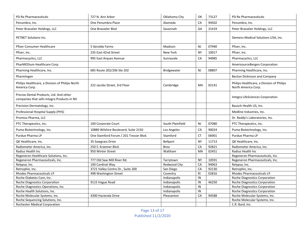| <b>PD-Rx Pharmaceuticals</b>                                                           | 727 N. Ann Arbor                       | Oklahoma City    | OK        | 73127 | <b>PD-Rx Pharmaceuticals</b>                                     |
|----------------------------------------------------------------------------------------|----------------------------------------|------------------|-----------|-------|------------------------------------------------------------------|
| Penumbra, Inc.                                                                         | One Penumbra Place                     | Alameda          | CA        | 94502 | Penumbra, Inc.                                                   |
| Peter Brasseler Holdings, LLC                                                          | One Brasseler Blvd                     | Savannah         | GA        | 31419 | Peter Brasseler Holdings, LLC                                    |
| PETNET Solutions Inc.                                                                  |                                        |                  |           |       | Siemens Medical Solutions USA, Inc.                              |
| Pfizer Consumer Healthcare                                                             | 5 Geralda Farms                        | Madison          | <b>NJ</b> | 07940 | Pfizer, Inc.                                                     |
| Pfizer, Inc.                                                                           | 235 East 42nd Street                   | New York         | <b>NY</b> | 10017 | Pfizer, Inc.                                                     |
| Pharmacyclics, LLC                                                                     | 995 East Argues Avenue                 | Sunnyvale        | CA        | 94085 | Pharmacyclics, LLC                                               |
| PharMEDium Healthcare Corp.                                                            |                                        |                  |           |       | AmerisourceBergen Corporation                                    |
| Pharming Healthcare, Inc.                                                              | 685 Route 202/206 Ste 202              | Bridgewater      | NJ        | 08807 | Pharming Healthcare, Inc.                                        |
| PharmIngen                                                                             |                                        |                  |           |       | Becton Dickinson and Company                                     |
| Philips Healthcare, a Division of Philips North<br>America Corp.                       | 222 Jacobs Street, 3rd Floor           | Cambridge        | MA        | 02141 | Philips Healthcare, a Division of Philips<br>North America Corp. |
| Precise Dental Products, Ltd. And other<br>companies that sells Integra Products in NV |                                        |                  |           |       | Integra LifeSciences Corporation                                 |
| Precision Dermatology, Inc.                                                            |                                        |                  |           |       | Bausch Health US, Inc.                                           |
| Professional Hospital Supply (PHS)                                                     |                                        |                  |           |       | Medline Industries, Inc.                                         |
| Promius Pharma, LLC                                                                    |                                        |                  |           |       | Dr. Reddy's Laboratories, Inc.                                   |
| PTC Therapeutics, Inc.                                                                 | 100 Corporate Court                    | South Plainfield | <b>NJ</b> | 07080 | PTC Therapeutics, Inc.                                           |
| Puma Biotechnology, Inc.                                                               | 10880 Wilshire Boulevard, Suite 2150   | Los Angeles      | CA        | 90024 | Puma Biotechnology, Inc.                                         |
| Purdue Pharma LP                                                                       | One Stamford Forum / 201 Tresser Blvd. | Stamford         | <b>CT</b> | 06901 | Purdue Pharma LP                                                 |
| QK Healthcare, Inc.                                                                    | 35 Sawgrass Drive                      | Bellport         | <b>NY</b> | 11713 | QK Healthcare, Inc.                                              |
| Radiometer America, Inc.                                                               | 250 S. Kraemer Blvd.                   | <b>Brea</b>      | CA        | 92821 | Radiometer America, Inc.                                         |
| Radius Health Inc                                                                      | 950 Winter Street                      | Waltham          | MA        | 02451 | Radius Health Inc                                                |
| Regeneron Healthcare Solutions, Inc.                                                   |                                        |                  |           |       | Regeneron Pharmaceuticals, Inc.                                  |
| Regeneron Pharmaceuticals, Inc.                                                        | 777 Old Saw Mill River Rd.             | Tarrytown        | <b>NY</b> | 10591 | Regeneron Pharmaceuticals, Inc.                                  |
| Relypsa, Inc.                                                                          | 100 Cardinal Way                       | Redwood City     | CA        | 94063 | Relypsa, Inc.                                                    |
| Retrophin, Inc.                                                                        | 3721 Valley Centre Dr., Suite 200      | San Diego        | CA        | 92130 | Retrophin, Inc.                                                  |
| Rhodes Pharmaceuticals LP                                                              | 498 Washington Street                  | Coventry         | RI        | 02816 | <b>Rhodes Pharmaceuticals LP</b>                                 |
| Roche Diabetes Care, Inc.                                                              |                                        | Indianapolis     | IN        |       | Roche Diagnostics Corporation                                    |
| Roche Diagnostics Corporation                                                          | 9115 Hague Road                        | Indianapolis     | IN        | 46250 | Roche Diagnostics Corporation                                    |
| Roche Diagnostics Operations, Inc                                                      |                                        | Indianapolis     | IN        |       | Roche Diagnostics Corporation                                    |
| Roche Health Solutions, Inc.                                                           |                                        | Indianapolis     | IN        |       | Roche Diagnostics Corporation                                    |
| Roche Molecular Systems, Inc.                                                          | 4300 Hacienda Drive                    | Pleasanton       | CA        | 94588 | Roche Molecular Systems, Inc.                                    |
| Roche Sequencing Solutions, Inc.                                                       |                                        |                  |           |       | Roche Molecular Systems, Inc.                                    |
| Rochester Medical Corporation                                                          |                                        |                  |           |       | C.R. Bard, Inc.                                                  |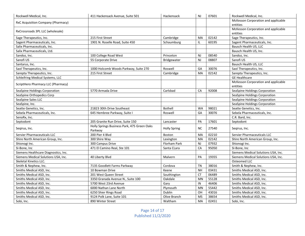| Rockwell Medical, Inc.               | 411 Hackensack Avenue, Suite 501                       | Hackensack          | <b>NJ</b> | 07601 | Rockwell Medical, Inc.              |
|--------------------------------------|--------------------------------------------------------|---------------------|-----------|-------|-------------------------------------|
|                                      |                                                        |                     |           |       | McKesson Corporation and applicable |
| RxC Acquisition Company (Pharmacy)   |                                                        |                     |           |       | entities                            |
| RxCrossroads 3PL LLC (wholesale)     |                                                        |                     |           |       | McKesson Corporation and applicable |
|                                      |                                                        |                     |           |       | entities                            |
| Sage Therapeutics, Inc.              | 215 First Street                                       | Cambridge           | MA        | 02142 | Sage Therapeutics, Inc.             |
| Sagent Pharmaceuticals, Inc.         | 1901 N. Roselle Road, Suite 450                        | Schaumburg          | IL.       | 60195 | Sagent Pharmaceuticals, Inc.        |
| Salix Pharmaceuticals, Inc.          |                                                        |                     |           |       | Bausch Health US, LLC               |
| Salix Pharmaceuticals, Ltd.          |                                                        |                     |           |       | Bausch Health US, Inc.              |
| Sandoz, Inc.                         | 100 College Road West                                  | Princeton           | <b>NJ</b> | 08540 | Sandoz, Inc.                        |
| Sanofi US                            | 55 Corporate Drive                                     | Bridgewater         | <b>NJ</b> | 08807 | Sanofi US                           |
| Santarus, Inc.                       |                                                        |                     |           |       | Bausch Health US, LLC               |
| Saol Therapeutics, Inc.              | 1000 Holcomb Woods Parkway, Suite 270                  | Roswell             | GA        | 30076 | Saol Therapeutics, Inc.             |
| Sarepta Therapeutics, Inc.           | 215 First Street                                       | Cambridge           | MA        | 02142 | Sarepta Therapeutics, Inc.          |
| Schleifring Medical Systems, LLC     |                                                        |                     |           |       | <b>GE Healthcare</b>                |
|                                      |                                                        |                     |           |       | McKesson Corporation and applicable |
| ScriptHero Pharmacy LLC (Pharmacy)   |                                                        |                     |           |       | entities                            |
| SeaSpine Holdings Corporation        | 5770 Armada Drive                                      | Carlsbad            | CA        | 92008 | SeaSpine Holdings Corporation       |
| SeaSpine Orthopedics Corp            |                                                        |                     |           |       | SeaSpine Holdings Corporation       |
| SeaSpine Sales LLC                   |                                                        |                     |           |       | SeaSpine Holdings Corporation       |
| SeaSpine, Inc.                       |                                                        |                     |           |       | SeaSpine Holdings Corporation       |
| Seatte Genetics, Inc.                | 21823 30th Drive Southeast                             | <b>Bothell</b>      | <b>WA</b> | 98021 | Seatte Genetics, Inc.               |
| Sebela Pharmaceuticals, Inc.         | 645 Hembree Parkway, Suite I                           | Roswell             | GA        | 30076 | Sebela Pharmaceuticals, Inc.        |
| SenoRx, Inc.                         |                                                        |                     |           |       | C.R. Bard, Inc.                     |
| Septodont                            | 205 Granite Run Drive, Suite 150                       | Lancaster           | PA        | 17601 | Septodont                           |
| Segirus, Inc.                        | Holly Springs Business Park, 475 Green Oaks<br>Parkway | <b>Holly Spring</b> | <b>NC</b> | 27540 | Segirus, Inc.                       |
| Servier Pharmaceuticals LLC          | 200 Pier 4 Blvd                                        | Boston              | MA        | 02210 | Servier Pharmaceuticals LLC         |
| Shire North American Group, Inc.     | 300 Shire Way                                          | Lexington           | MA        | 02142 | Shire North American Group, Inc.    |
| Shionogi Inc.                        | 300 Campus Drive                                       | Florham Park        | <b>NJ</b> | 07932 | Shionogi Inc.                       |
| SI-Bone, Inc                         | 471 El Camino Real, Ste 101                            | Santa CLara         | CA        | 95050 | SI-Bone, Inc                        |
| Siemens Healthcare Diagnostics, Inc. |                                                        |                     |           |       | Siemens Medical Solutions USA, Inc. |
| Siemens Medical Solutions USA, Inc.  | 40 Liberty Blvd                                        | Malvern             | PA        | 19355 | Siemens Medical Solutions USA, Inc. |
| Skeletal Kinetics LLC.               |                                                        |                     |           |       | Osteomed LLC                        |
| Smith & Nephew, Inc.                 | 7135 Goodlett Farms Parkway                            | Cordova             | <b>TN</b> | 38016 | Smith & Nephew, Inc.                |
| Smiths Medical ASD, Inc.             | 10 Bowman Drive                                        | Keene               | <b>NH</b> | 03431 | Smiths Medical ASD, Inc.            |
| Smiths Medical ASD, Inc.             | 201 West Queen Street                                  | Southington         | <b>CT</b> | 06489 | Smiths Medical ASD, Inc.            |
| Smiths Medical ASD, Inc.             | 3350 Granada Avenue N., Suite 100                      | Oakdale             | <b>MN</b> | 55128 | Smiths Medical ASD, Inc.            |
| Smiths Medical ASD, Inc.             | 5700 West 23rd Avenue                                  | Gary                | IN        | 46406 | Smiths Medical ASD, Inc.            |
| Smiths Medical ASD, Inc.             | 6000 Nathan Lane North                                 | Plymouth            | MN        | 55442 | Smiths Medical ASD, Inc.            |
| Smiths Medical ASD, Inc.             | 6250 Shier Rings Road                                  | Dublin              | OH        | 43016 | Smiths Medical ASD, Inc.            |
| Smiths Medical ASD, Inc.             | 9124 Polk Lane, Suite 101                              | Olive Branch        | <b>MS</b> | 38654 | Smiths Medical ASD, Inc.            |
| Sobi, Inc.                           | 890 Winter Street                                      | Waltham             | MA        | 02451 | Sobi, Inc.                          |

Page 14 of 17 Published 11/2/2020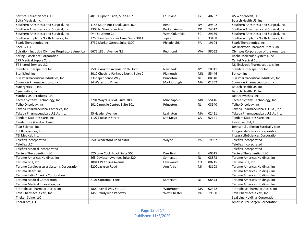| Solstice Neurosciences, LLC                      | 4010 Dupont Circle, Suite L-07       | Louisville          | KY        | 40207 | US WorldMeds, LLC                      |
|--------------------------------------------------|--------------------------------------|---------------------|-----------|-------|----------------------------------------|
| Solta Medical, Inc.                              |                                      |                     |           |       | Bausch Health US, Inc.                 |
| Southern Anesthesia and Surgical, Inc.           | 1155 South Rock Blvd, Suite 460      | Reno                | <b>NV</b> | 89502 | Southern Anesthesia and Surgical, Inc. |
| Southern Anesthesia and Surgical, Inc.           | 2308 N. Sweetgum Ave                 | <b>Broken Arrow</b> | OK        | 74012 | Southern Anesthesia and Surgical, Inc. |
| Southern Anesthesia and Surgical, Inc.           | One Southern Ct.                     | West Columbia       | <b>SC</b> | 29169 | Southern Anesthesia and Surgical, Inc. |
| Southern Implants North America, Inc.            | 225 Chimney Corner Lane, Suite 3011  | Jupiter             | FL.       | 33458 | Southern Implants North America, Inc.  |
| Spark Therapeutics, Inc.                         | 3737 Market Street, Suite 1300       | Philadelphia        | PA        | 19104 | Spark Therapeutics, Inc.               |
| SpecGx LLC                                       |                                      |                     |           |       | Mallinckrodt Pharmaceuticals, Inc.     |
| Spiration, Inc., dba Olympus Respiratory America | 6675 185th Avenue N.E.               | Redmond             | <b>WA</b> | 98052 | Olympus Corporation of the Americas    |
| Spring BioScience Corporation                    |                                      |                     |           |       | Roche Molecular Systems, Inc.          |
| SPS Medical Supply Corp                          |                                      |                     |           |       | Cantel Medical Corp.                   |
| ST Shared Services LLC                           |                                      |                     |           |       | Mallinckrodt Pharmaceuticals, Inc.     |
| Stemline Therapeutics Inc.                       | 750 Lexington Avenue, 11th Floor     | New York            | <b>NY</b> | 10011 | Stemline Therapeutics Inc.             |
| SterilMed, Inc.                                  | 5010 Cheshire Parkway North, Suite 2 | Plymouth            | MN        | 55446 | Ethicon Inc.                           |
| Sun Pharmaceutical Industries, Inc.              | 2 Independence Way                   | Princeton           | <b>NJ</b> | 08540 | Sun Pharmaceutical Industries, Inc.    |
| Sunovion Pharmaceuticals, Inc.                   | 84 Waterford Drive                   | Marlborough         | MA        | 01752 | Sunovion Pharmaceuticals, Inc.         |
| Synergetics IP, Inc.                             |                                      |                     |           |       | Bausch Health US, Inc.                 |
| Synergetics, Inc.                                |                                      |                     |           |       | Bausch Health US, Inc.                 |
| Synthes USA Products, LLC                        |                                      |                     |           |       | DePuy Synthes, Inc.                    |
| Tactile Systems Technology, Inc.                 | 3701 Wayzala Blvd, Suite 300         | Minneapolis         | MN        | 55416 | Tactile Systems Technology, Inc.       |
| Taiho Oncology, Inc.                             | 101 Carnegie Center, Suite 101       | Princeton           | <b>NJ</b> | 08540 | Taiho Oncology, Inc.                   |
| Takeda Pharmaceuticals America, Inc.             |                                      |                     |           |       | Takeda Pharmaceuticals U.S.A., Inc.    |
| Takeda Pharmaceuticals U.S.A., Inc.              | 95 Hayden Avenue                     | Lexington           | MA        | 02421 | Takeda Pharmaceuticals U.S.A., Inc.    |
| Tandem Diabetes Care, Inc.                       | 11075 Roselle Street                 | San Diego           | CA        | 92121 | Tandem Diabetes Care, Inc.             |
| TandemLife (Cardiac Assist)                      |                                      |                     |           |       | LivaNova USA, Inc.                     |
| Tear Science, Inc.                               |                                      |                     |           |       | Johnson & Johnson Surgical Vision      |
| TEI Biosciences, Inc.                            |                                      |                     |           |       | Integra LifeSciences Corporation       |
| TEI Medical, Inc.                                |                                      |                     |           |       | Integra LifeSciences Corporation       |
| Teleflex Incorporated                            | 550 Swedesford Road #400             | Wayne               | PA        | 19087 | Teleflex Incorporated                  |
| <b>Teleflex LLC</b>                              |                                      |                     |           |       | Teleflex Incorporated                  |
| Teleflex Medical Incorporated                    |                                      |                     |           |       | Teleflex Incorporated                  |
| TerSera Therapeutics, LLC                        | 520 Lake Cook Road, Suite 500        | Deerfield           | IL        | 60015 | TerSera Therapeutics, LLC              |
| Terumo Americas Holdings, Inc.                   | 265 Davidson Avenue, Suite 320       | Somerset            | <b>NJ</b> | 08873 | Terumo Americas Holdings, Inc.         |
| Terumo BCT, Inc.                                 | 10811 W Collins Avenue               | Lakewood            | CO        | 80215 | Terumo BCT, Inc.                       |
| Terumo Cardiovascular Systems Corporation        | 6200 Jackson Road                    | Ann Arbor           | MI        | 48103 | Terumo Americas Holdings, Inc.         |
| Terumo Heart, Inc                                |                                      |                     |           |       | Terumo Americas Holdings, Inc.         |
| Terumo Latin America Corporation                 |                                      |                     |           |       | Terumo Americas Holdings, Inc.         |
| <b>Terumo Medical Corporation</b>                | 2101 Cottontail Lane                 | Somerset            | <b>NJ</b> | 08873 | Terumo Americas Holdings, Inc.         |
| Terumo Medical Innovation, Inc                   |                                      |                     |           |       | Terumo Americas Holdings, Inc.         |
| Tetraphase Pharmaceuticals, Inc                  | 480 Arsenal Way Ste 110              | Watertown           | MA        | 02472 | Tetraphase Pharmaceuticals, Inc.       |
| Teva Pharmaceuticals, Inc.                       | 145 Brandywine Parkway               | <b>West Chester</b> | PA        | 19380 | Teva Pharmaceuticals, Inc.             |
| Theken Spine, LLC                                |                                      |                     |           |       | SeaSpine Holdings Corporation          |
| TheraCom, LLC                                    |                                      |                     |           |       | AmerisourceBergen Corporation          |

Page 15 of 17 Published 11/2/2020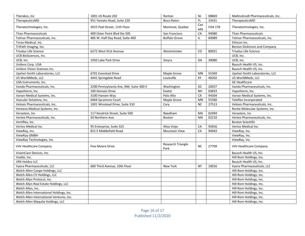| Therakos, Inc                            | 1001 US Route 202                      | Raritan                   | <b>NJ</b>  | 08869          | Mallinckrodt Pharmaceuticals, Inc.  |
|------------------------------------------|----------------------------------------|---------------------------|------------|----------------|-------------------------------------|
| TherapeuticsMD                           | 951 Yamato Road, Suite 220             | <b>Boca Raton</b>         | FL         | 33431          | TherapeuticsMD                      |
| Theratechnologies, Inc.                  | 2015 Peel Street, 11th Floor           | Montreal, Quebec          | Can<br>ada | <b>H3A 1T8</b> | Theratechnologies, Inc.             |
| <b>Titan Pharmaceuticals</b>             | 400 Oster Point Blvd Ste 505           | San Francisco             | CA         | 94080          | <b>Titan Pharmaceuticals</b>        |
| Tolmar Pharmaceuticals, Inc.             | 485 W. Half Day Road, Suite 400        | <b>Buffalo Grove</b>      | IL.        | 60089          | Tolmar Pharmaceuticals, Inc.        |
| Torax Medical, Inc.                      |                                        |                           |            |                | Ethicon Inc.                        |
| TriPath Imaging. Inc.                    |                                        |                           |            |                | <b>Becton Dickinson and Company</b> |
| <b>Trisalus Life Science</b>             | 6272 West 91st Avenue                  | Westminister              | CO         | 80031          | <b>Trisalus Life Science</b>        |
| UCB BioSciences, Inc.                    |                                        |                           |            |                | UCB, Inc.                           |
| UCB, Inc.                                | 1950 Lake Park Drive                   | Smyra                     | GA         | 30080          | UCB, Inc.                           |
| Unilens Corp. USA                        |                                        |                           |            |                | Bausch Health US, Inc.              |
| Unilens Vision Sciences Inc.             |                                        |                           |            |                | Bausch Health US, Inc.              |
| Upsher-Smith Laboratories, LLC           | 6701 Evenstad Drive                    | Maple Grove               | <b>MN</b>  | 55369          | Upsher-Smith Laboratories, LLC      |
| US WorldMeds, LLC                        | 4441 Springdale Road                   | Louisville                | KY         | 40202          | US WorldMeds, LLC                   |
| USA Instruments, Inc.                    |                                        |                           |            |                | <b>GE Healthcare</b>                |
| Vanda Pharmaceuticals, Inc.              | 2200 Pennsylvania Ave, NW, Suite 300-E | Washington                | DC         | 20037          | Vanda Pharmaceuticals, Inc.         |
| Vapotherm, Inc.                          | 100 Domain Drive                       | Exeter                    | <b>NH</b>  | 03833          | Vapotherm, Inc.                     |
| Varian Medical Systems, Inc.             | 3100 Hansen Way                        | Palo Alto                 | CA         | 94304          | Varian Medical Systems, Inc.        |
| Vascular Solutions, Inc.                 | 6464 Sycamore Court                    | Maple Grove               | MN         | 55360          | Teleflex Incorporated               |
| Veloxis Pharmaceuticals, Inc.            | 1001 Winstead Drive, Suite 310         | Cary                      | <b>NC</b>  | 27513          | Veloxis Pharmaceuticals, Inc.       |
| Ventana Medical Systems, Inc.            |                                        |                           |            |                | Roche Molecular Systems, Inc.       |
| Verastem, Inc                            | 117 Kendrick Street, Suite 500         | Needham                   | MA         | 02494          | Verastem, Inc                       |
| Vertex Pharmaceuticals, Inc.             | 50 Northern Ave.                       | Boston                    | MA         | 02210          | Vertex Pharmaceuticals, Inc.        |
| Vertiflex, Inc.                          |                                        |                           |            |                | <b>Boston Scientific</b>            |
| Vertos Medical Inc.                      | 95 Enterprise, Suite 325               | Aliso Viejo               | CA         | 92656          | Vertos Medical Inc.                 |
| ViewRay, Inc.                            | 815 E Middlefield Road                 | <b>Mountain View</b>      | CA         | 94043          | ViewRay, Inc.                       |
| ViewRay GMBH                             |                                        |                           |            |                | ViewRay, Inc.                       |
| ViewRay Technologies, Inc.               |                                        |                           |            |                | ViewRay, Inc.                       |
| ViiV Healthcare Company                  | <b>Five Moore Drive</b>                | Research Triangle<br>Park | <b>NC</b>  | 27709          | ViiV Healthcare Company             |
| VisionCare Devices, Inc.                 |                                        |                           |            |                | Bausch Health US, Inc.              |
| Voalte, Inc.                             |                                        |                           |            |                | Hill-Rom Holdings, Inc.             |
| <b>VRX Holdco LLC</b>                    |                                        |                           |            |                | Bausch Health US, Inc.              |
| Vyera Pharmaceuticals, LLC               | 600 Third Avenue, 10th Floor           | New York                  | <b>NY</b>  | 10016          | Vyera Pharmaceuticals, LLC          |
| Welch Allen Coope Holdings, LLC          |                                        |                           |            |                | Hill-Rom Holdings, Inc.             |
| Welch Allen CV Holdings, LLC             |                                        |                           |            |                | Hill-Rom Holdings, Inc.             |
| Welch Allyn Protocol, Inc.               |                                        |                           |            |                | Hill-Rom Holdings, Inc.             |
| Welch Allyn Real Estate Holdings, LLC    |                                        |                           |            |                | Hill-Rom Holdings, Inc.             |
| Welch Allyn, Inc.                        |                                        |                           |            |                | Hill-Rom Holdings, Inc.             |
| Welch Allen International Holdings, Inc. |                                        |                           |            |                | Hill-Rom Holdings, Inc.             |
| Welch Allen International Ventures, Inc. |                                        |                           |            |                | Hill-Rom Holdings, Inc.             |
| Welch Allen Maquila Holdings, LLC        |                                        |                           |            |                | Hill-Rom Holdings, Inc.             |

Page 16 of 17 Published 11/2/2020